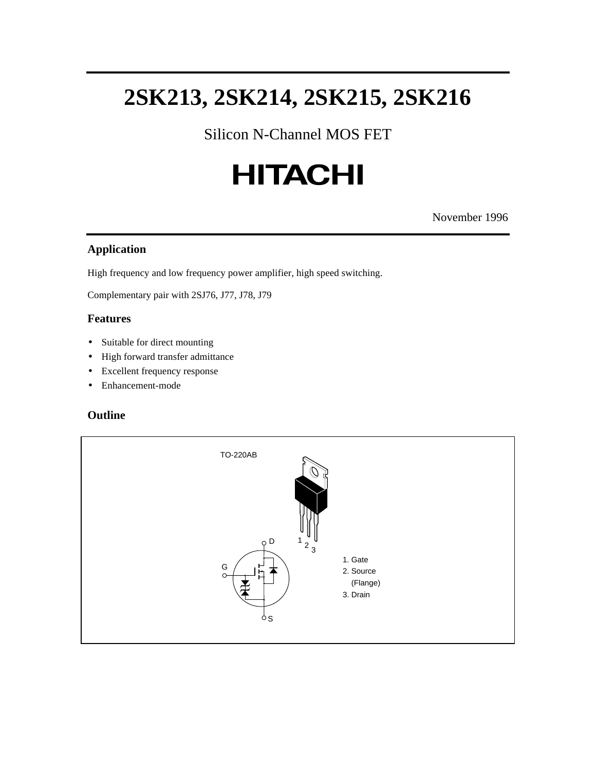Silicon N-Channel MOS FET

# **HITACHI**

November 1996

#### **Application**

High frequency and low frequency power amplifier, high speed switching.

Complementary pair with 2SJ76, J77, J78, J79

#### **Features**

- Suitable for direct mounting
- High forward transfer admittance
- Excellent frequency response
- Enhancement-mode

#### **Outline**

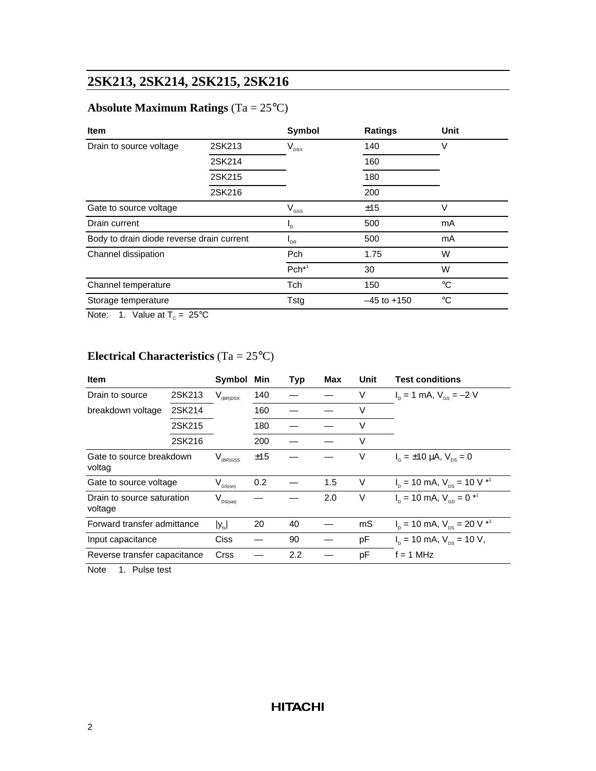### **Absolute Maximum Ratings** (Ta = 25°C)

| <b>Item</b>                               |           | <b>Symbol</b>  | Ratings         | Unit        |  |
|-------------------------------------------|-----------|----------------|-----------------|-------------|--|
| Drain to source voltage                   | 2SK213    | $V_{DSX}$      | 140             | V           |  |
|                                           | 2SK214    |                | 160             |             |  |
|                                           | 2SK215    |                | 180             |             |  |
|                                           | 2SK216    |                | 200             |             |  |
| Gate to source voltage                    |           | $V_{\rm{GSS}}$ | V<br>±15        |             |  |
| Drain current                             |           | $I_{\rm D}$    | 500             | mA          |  |
| Body to drain diode reverse drain current |           | $I_{DR}$       | 500             | mA          |  |
| Channel dissipation                       |           | Pch            | 1.75            | W           |  |
|                                           |           | $Pch*1$        | 30              | W           |  |
| Channel temperature                       |           | <b>Tch</b>     | 150             | $^{\circ}C$ |  |
| Storage temperature                       |           | Tstg           | $-45$ to $+150$ | $^{\circ}C$ |  |
|                                           | $- - - -$ |                |                 |             |  |

Note: 1. Value at  $T_c = 25^{\circ}C$ 

# **Electrical Characteristics** (Ta = 25°C)

| <b>Item</b>                           |        | Symbol               | Min | <b>Typ</b> | Max | Unit | <b>Test conditions</b>                          |
|---------------------------------------|--------|----------------------|-----|------------|-----|------|-------------------------------------------------|
| Drain to source                       | 2SK213 | $V_{(BR)DSX}$        | 140 |            |     | V    | $I_{p} = 1$ mA, $V_{qs} = -2$ V                 |
| breakdown voltage                     | 2SK214 |                      | 160 |            |     | V    |                                                 |
|                                       | 2SK215 |                      | 180 |            |     | V    |                                                 |
|                                       | 2SK216 |                      | 200 |            |     | V    |                                                 |
| Gate to source breakdown<br>voltag    |        | $V_{(BR)GSS}$        | ±15 |            |     | V    | $I_c = \pm 10 \mu A$ , $V_{\text{ps}} = 0$      |
| Gate to source voltage                |        | $V_{\text{GS}(on)}$  | 0.2 |            | 1.5 | V    | $I_p = 10$ mA, $V_{ps} = 10$ V $*^1$            |
| Drain to source saturation<br>voltage |        | $V_{\text{DS(sat)}}$ |     |            | 2.0 | V    | $I_{p} = 10$ mA, $V_{ep} = 0$ * <sup>1</sup>    |
| Forward transfer admittance           |        | $ y_{\text{fs}} $    | 20  | 40         |     | mS   | $I_p = 10$ mA, $V_{ps} = 20$ V $*$ <sup>1</sup> |
| Input capacitance                     |        | Ciss                 |     | 90         |     | pF   | $I_{p}$ = 10 mA, $V_{ps}$ = 10 V,               |
| Reverse transfer capacitance          |        | <b>Crss</b>          |     | 2.2        |     | pF   | $f = 1$ MHz                                     |
| Note<br>Pulse test<br>1.              |        |                      |     |            |     |      |                                                 |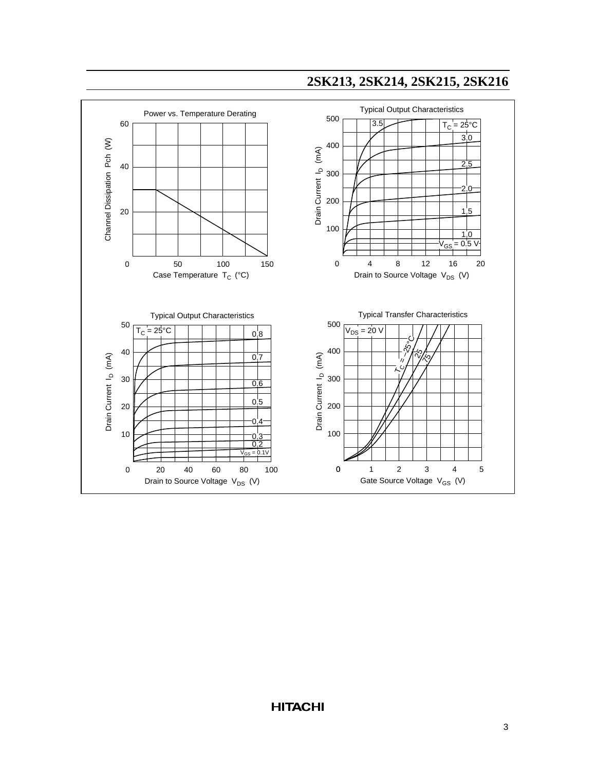

### **HITACHI**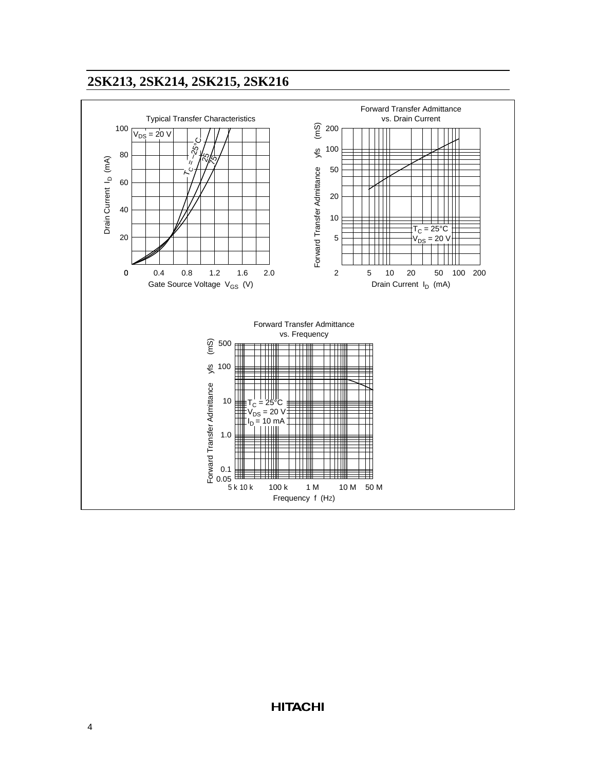

**HITACHI**